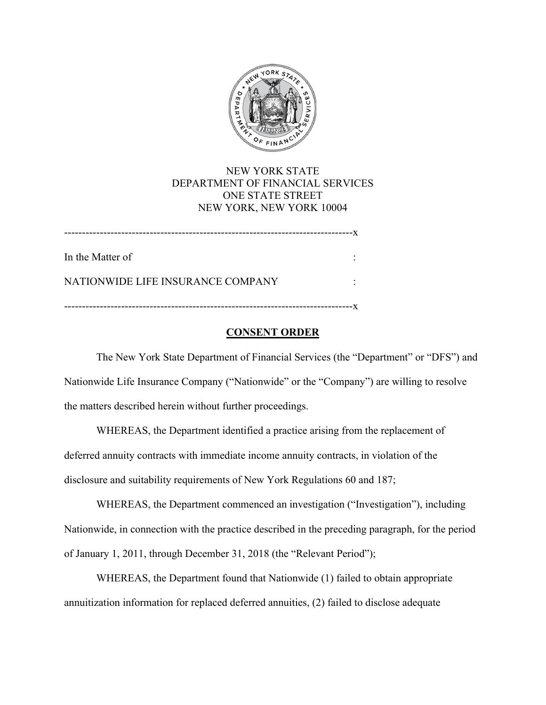

# NEW YORK STATE DEPARTMENT OF FINANCIAL SERVICES ONE STATE STREET NEW YORK, NEW YORK 10004

In the Matter of : ---------------------------------------------------------------------------------x NATIONWIDE LIFE INSURANCE COMPANY :

---------------------------------------------------------------------------------x

# **CONSENT ORDER**

The New York State Department of Financial Services (the "Department" or "DFS") and Nationwide Life Insurance Company ("Nationwide" or the "Company") are willing to resolve the matters described herein without further proceedings.

WHEREAS, the Department identified a practice arising from the replacement of deferred annuity contracts with immediate income annuity contracts, in violation of the disclosure and suitability requirements of New York Regulations 60 and 187;

WHEREAS, the Department commenced an investigation ("Investigation"), including Nationwide, in connection with the practice described in the preceding paragraph, for the period of January 1, 2011, through December 31, 2018 (the "Relevant Period");

WHEREAS, the Department found that Nationwide (1) failed to obtain appropriate annuitization information for replaced deferred annuities, (2) failed to disclose adequate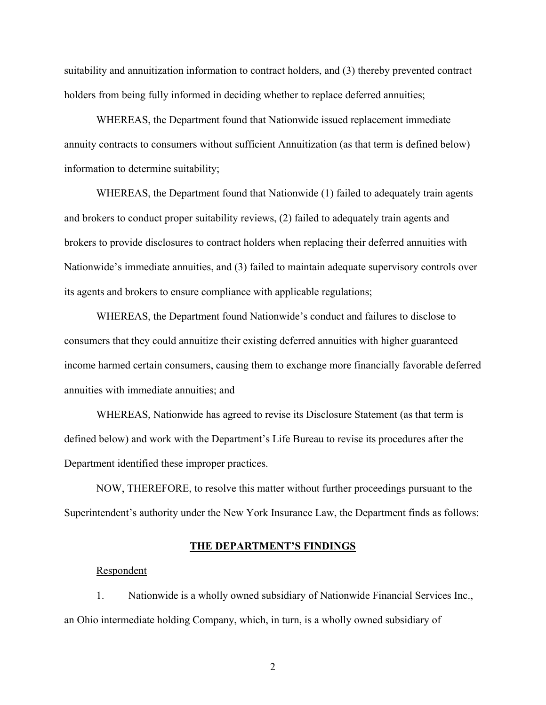suitability and annuitization information to contract holders, and (3) thereby prevented contract holders from being fully informed in deciding whether to replace deferred annuities;

WHEREAS, the Department found that Nationwide issued replacement immediate annuity contracts to consumers without sufficient Annuitization (as that term is defined below) information to determine suitability;

WHEREAS, the Department found that Nationwide (1) failed to adequately train agents and brokers to conduct proper suitability reviews, (2) failed to adequately train agents and brokers to provide disclosures to contract holders when replacing their deferred annuities with Nationwide's immediate annuities, and (3) failed to maintain adequate supervisory controls over its agents and brokers to ensure compliance with applicable regulations;

WHEREAS, the Department found Nationwide's conduct and failures to disclose to consumers that they could annuitize their existing deferred annuities with higher guaranteed income harmed certain consumers, causing them to exchange more financially favorable deferred annuities with immediate annuities; and

WHEREAS, Nationwide has agreed to revise its Disclosure Statement (as that term is defined below) and work with the Department's Life Bureau to revise its procedures after the Department identified these improper practices.

NOW, THEREFORE, to resolve this matter without further proceedings pursuant to the Superintendent's authority under the New York Insurance Law, the Department finds as follows:

### **THE DEPARTMENT'S FINDINGS**

## Respondent

1. Nationwide is a wholly owned subsidiary of Nationwide Financial Services Inc., an Ohio intermediate holding Company, which, in turn, is a wholly owned subsidiary of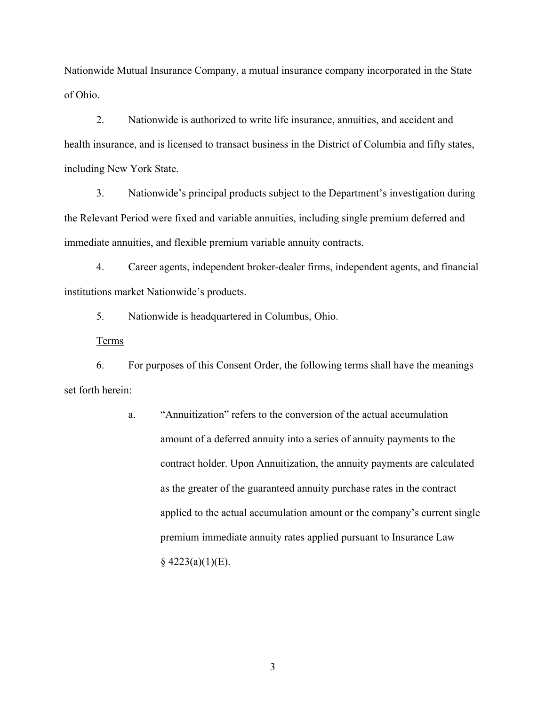Nationwide Mutual Insurance Company, a mutual insurance company incorporated in the State of Ohio.

2. Nationwide is authorized to write life insurance, annuities, and accident and health insurance, and is licensed to transact business in the District of Columbia and fifty states, including New York State.

3. Nationwide's principal products subject to the Department's investigation during the Relevant Period were fixed and variable annuities, including single premium deferred and immediate annuities, and flexible premium variable annuity contracts.

4. Career agents, independent broker-dealer firms, independent agents, and financial institutions market Nationwide's products.

5. Nationwide is headquartered in Columbus, Ohio.

Terms

6. For purposes of this Consent Order, the following terms shall have the meanings set forth herein:

> a. "Annuitization" refers to the conversion of the actual accumulation amount of a deferred annuity into a series of annuity payments to the contract holder. Upon Annuitization, the annuity payments are calculated as the greater of the guaranteed annuity purchase rates in the contract applied to the actual accumulation amount or the company's current single premium immediate annuity rates applied pursuant to Insurance Law  $§$  4223(a)(1)(E).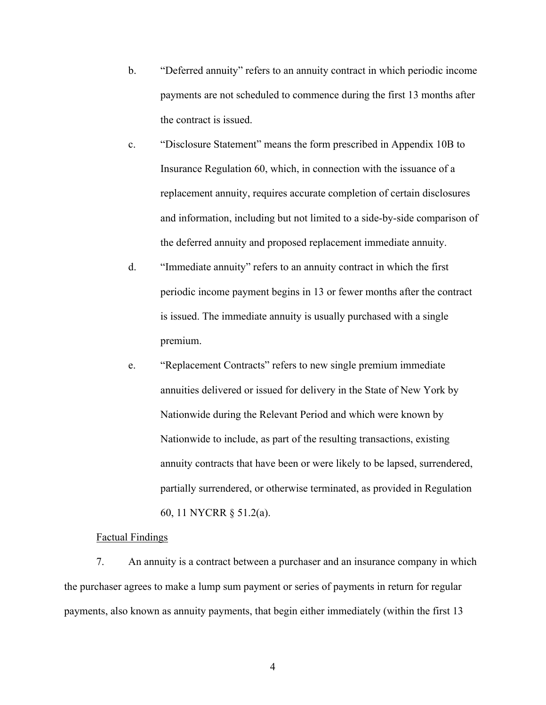- b. "Deferred annuity" refers to an annuity contract in which periodic income payments are not scheduled to commence during the first 13 months after the contract is issued.
- c. "Disclosure Statement" means the form prescribed in Appendix 10B to Insurance Regulation 60, which, in connection with the issuance of a replacement annuity, requires accurate completion of certain disclosures and information, including but not limited to a side-by-side comparison of the deferred annuity and proposed replacement immediate annuity.
- d. "Immediate annuity" refers to an annuity contract in which the first periodic income payment begins in 13 or fewer months after the contract is issued. The immediate annuity is usually purchased with a single premium.
- e. "Replacement Contracts" refers to new single premium immediate annuities delivered or issued for delivery in the State of New York by Nationwide during the Relevant Period and which were known by Nationwide to include, as part of the resulting transactions, existing annuity contracts that have been or were likely to be lapsed, surrendered, partially surrendered, or otherwise terminated, as provided in Regulation 60, 11 NYCRR § 51.2(a).

#### Factual Findings

7. An annuity is a contract between a purchaser and an insurance company in which the purchaser agrees to make a lump sum payment or series of payments in return for regular payments, also known as annuity payments, that begin either immediately (within the first 13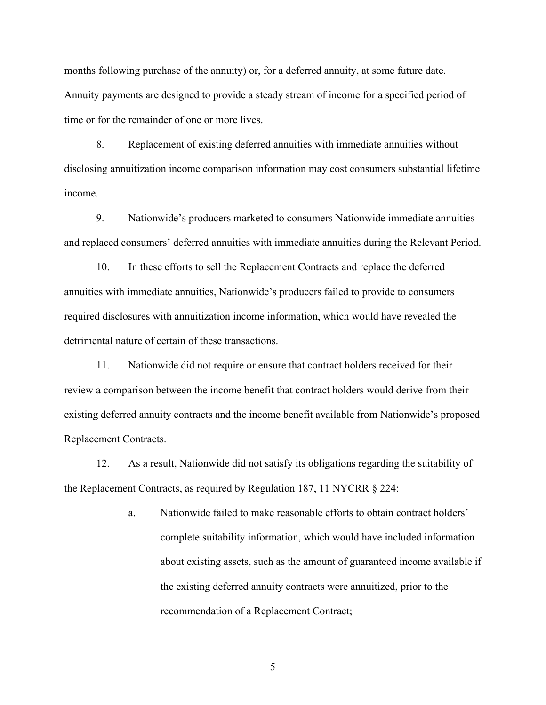months following purchase of the annuity) or, for a deferred annuity, at some future date. Annuity payments are designed to provide a steady stream of income for a specified period of time or for the remainder of one or more lives.

8. Replacement of existing deferred annuities with immediate annuities without disclosing annuitization income comparison information may cost consumers substantial lifetime income.

9. Nationwide's producers marketed to consumers Nationwide immediate annuities and replaced consumers' deferred annuities with immediate annuities during the Relevant Period.

10. In these efforts to sell the Replacement Contracts and replace the deferred annuities with immediate annuities, Nationwide's producers failed to provide to consumers required disclosures with annuitization income information, which would have revealed the detrimental nature of certain of these transactions.

11. Nationwide did not require or ensure that contract holders received for their review a comparison between the income benefit that contract holders would derive from their existing deferred annuity contracts and the income benefit available from Nationwide's proposed Replacement Contracts.

12. As a result, Nationwide did not satisfy its obligations regarding the suitability of the Replacement Contracts, as required by Regulation 187, 11 NYCRR § 224:

> a. Nationwide failed to make reasonable efforts to obtain contract holders' complete suitability information, which would have included information about existing assets, such as the amount of guaranteed income available if the existing deferred annuity contracts were annuitized, prior to the recommendation of a Replacement Contract;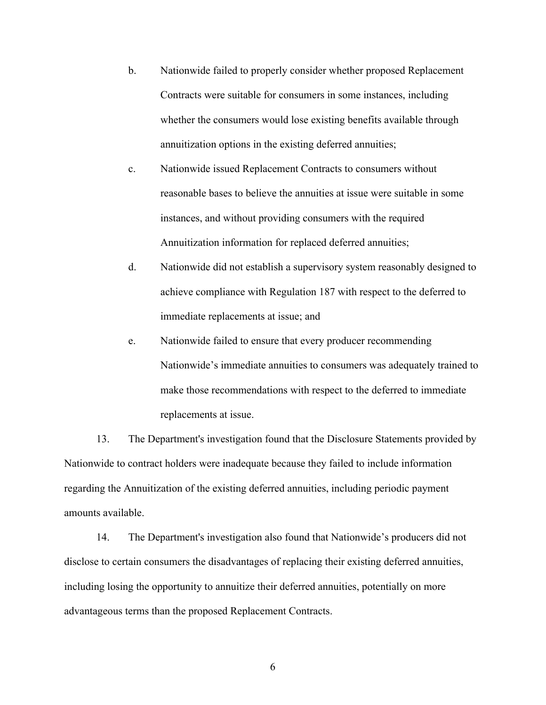- b. Nationwide failed to properly consider whether proposed Replacement Contracts were suitable for consumers in some instances, including whether the consumers would lose existing benefits available through annuitization options in the existing deferred annuities;
- c. Nationwide issued Replacement Contracts to consumers without reasonable bases to believe the annuities at issue were suitable in some instances, and without providing consumers with the required Annuitization information for replaced deferred annuities;
- d. Nationwide did not establish a supervisory system reasonably designed to achieve compliance with Regulation 187 with respect to the deferred to immediate replacements at issue; and
- e. Nationwide failed to ensure that every producer recommending Nationwide's immediate annuities to consumers was adequately trained to make those recommendations with respect to the deferred to immediate replacements at issue.

13. The Department's investigation found that the Disclosure Statements provided by Nationwide to contract holders were inadequate because they failed to include information regarding the Annuitization of the existing deferred annuities, including periodic payment amounts available.

14. The Department's investigation also found that Nationwide's producers did not disclose to certain consumers the disadvantages of replacing their existing deferred annuities, including losing the opportunity to annuitize their deferred annuities, potentially on more advantageous terms than the proposed Replacement Contracts.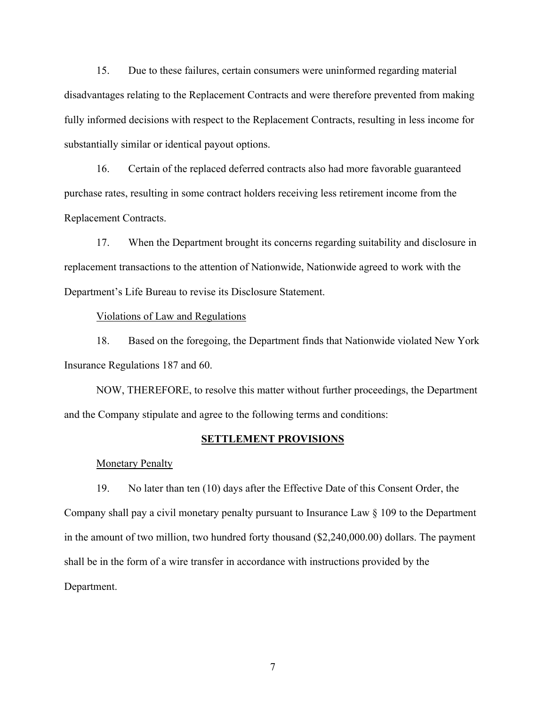15. Due to these failures, certain consumers were uninformed regarding material disadvantages relating to the Replacement Contracts and were therefore prevented from making fully informed decisions with respect to the Replacement Contracts, resulting in less income for substantially similar or identical payout options.

16. Certain of the replaced deferred contracts also had more favorable guaranteed purchase rates, resulting in some contract holders receiving less retirement income from the Replacement Contracts.

17. When the Department brought its concerns regarding suitability and disclosure in replacement transactions to the attention of Nationwide, Nationwide agreed to work with the Department's Life Bureau to revise its Disclosure Statement.

## Violations of Law and Regulations

18. Based on the foregoing, the Department finds that Nationwide violated New York Insurance Regulations 187 and 60.

NOW, THEREFORE, to resolve this matter without further proceedings, the Department and the Company stipulate and agree to the following terms and conditions:

#### **SETTLEMENT PROVISIONS**

#### **Monetary Penalty**

19. No later than ten (10) days after the Effective Date of this Consent Order, the Company shall pay a civil monetary penalty pursuant to Insurance Law § 109 to the Department in the amount of two million, two hundred forty thousand (\$[2,240,000.00\)](https://2,240,000.00) dollars. The payment shall be in the form of a wire transfer in accordance with instructions provided by the Department.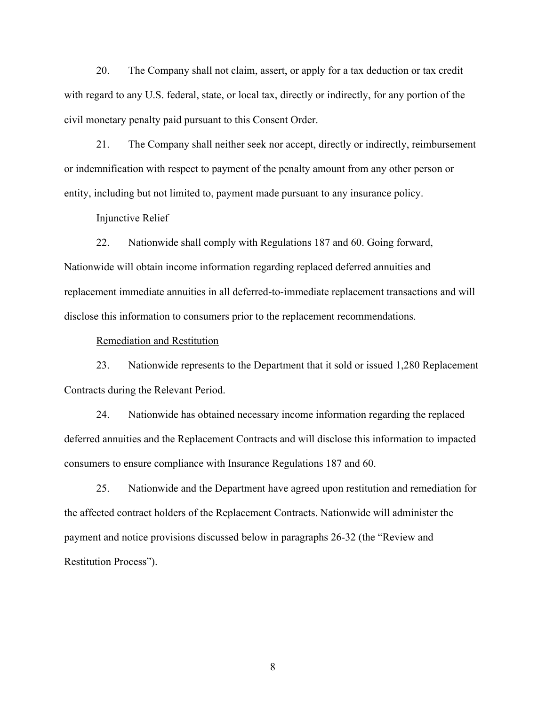20. The Company shall not claim, assert, or apply for a tax deduction or tax credit with regard to any U.S. federal, state, or local tax, directly or indirectly, for any portion of the civil monetary penalty paid pursuant to this Consent Order.

21. The Company shall neither seek nor accept, directly or indirectly, reimbursement or indemnification with respect to payment of the penalty amount from any other person or entity, including but not limited to, payment made pursuant to any insurance policy.

### Injunctive Relief

22. Nationwide shall comply with Regulations 187 and 60. Going forward, Nationwide will obtain income information regarding replaced deferred annuities and replacement immediate annuities in all deferred-to-immediate replacement transactions and will disclose this information to consumers prior to the replacement recommendations.

## Remediation and Restitution

23. Nationwide represents to the Department that it sold or issued 1,280 Replacement Contracts during the Relevant Period.

24. Nationwide has obtained necessary income information regarding the replaced deferred annuities and the Replacement Contracts and will disclose this information to impacted consumers to ensure compliance with Insurance Regulations 187 and 60.

25. Nationwide and the Department have agreed upon restitution and remediation for the affected contract holders of the Replacement Contracts. Nationwide will administer the payment and notice provisions discussed below in paragraphs 26-32 (the "Review and Restitution Process").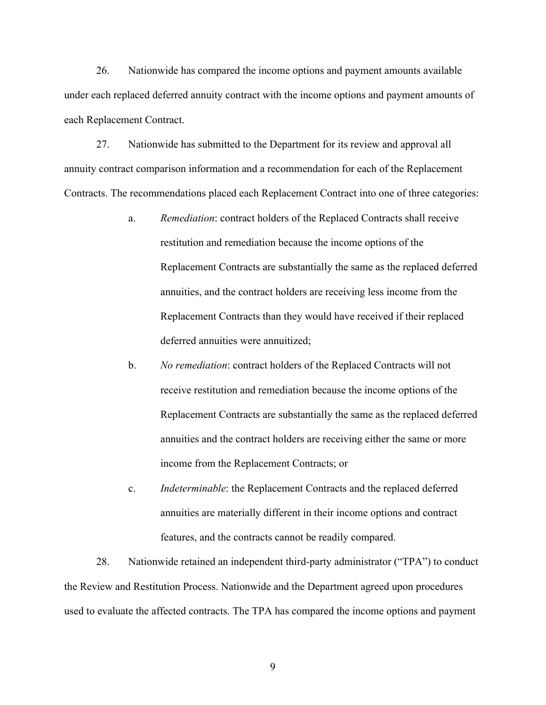26. Nationwide has compared the income options and payment amounts available under each replaced deferred annuity contract with the income options and payment amounts of each Replacement Contract.

27. Nationwide has submitted to the Department for its review and approval all annuity contract comparison information and a recommendation for each of the Replacement Contracts. The recommendations placed each Replacement Contract into one of three categories:

- a. *Remediation*: contract holders of the Replaced Contracts shall receive restitution and remediation because the income options of the Replacement Contracts are substantially the same as the replaced deferred annuities, and the contract holders are receiving less income from the Replacement Contracts than they would have received if their replaced deferred annuities were annuitized;
- b. *No remediation*: contract holders of the Replaced Contracts will not receive restitution and remediation because the income options of the Replacement Contracts are substantially the same as the replaced deferred annuities and the contract holders are receiving either the same or more income from the Replacement Contracts; or
- c. *Indeterminable*: the Replacement Contracts and the replaced deferred annuities are materially different in their income options and contract features, and the contracts cannot be readily compared.

28. Nationwide retained an independent third-party administrator ("TPA") to conduct the Review and Restitution Process. Nationwide and the Department agreed upon procedures used to evaluate the affected contracts. The TPA has compared the income options and payment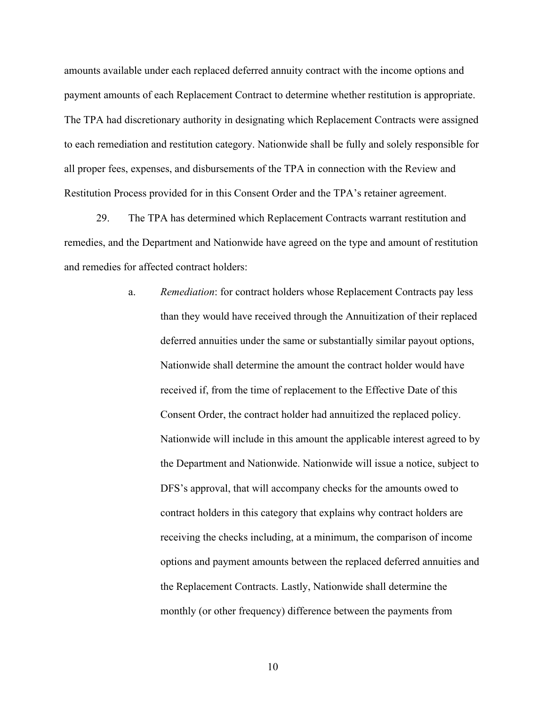amounts available under each replaced deferred annuity contract with the income options and payment amounts of each Replacement Contract to determine whether restitution is appropriate. The TPA had discretionary authority in designating which Replacement Contracts were assigned to each remediation and restitution category. Nationwide shall be fully and solely responsible for all proper fees, expenses, and disbursements of the TPA in connection with the Review and Restitution Process provided for in this Consent Order and the TPA's retainer agreement.

29. The TPA has determined which Replacement Contracts warrant restitution and remedies, and the Department and Nationwide have agreed on the type and amount of restitution and remedies for affected contract holders:

> a. *Remediation*: for contract holders whose Replacement Contracts pay less than they would have received through the Annuitization of their replaced deferred annuities under the same or substantially similar payout options, Nationwide shall determine the amount the contract holder would have received if, from the time of replacement to the Effective Date of this Consent Order, the contract holder had annuitized the replaced policy. Nationwide will include in this amount the applicable interest agreed to by the Department and Nationwide. Nationwide will issue a notice, subject to DFS's approval, that will accompany checks for the amounts owed to contract holders in this category that explains why contract holders are receiving the checks including, at a minimum, the comparison of income options and payment amounts between the replaced deferred annuities and the Replacement Contracts. Lastly, Nationwide shall determine the monthly (or other frequency) difference between the payments from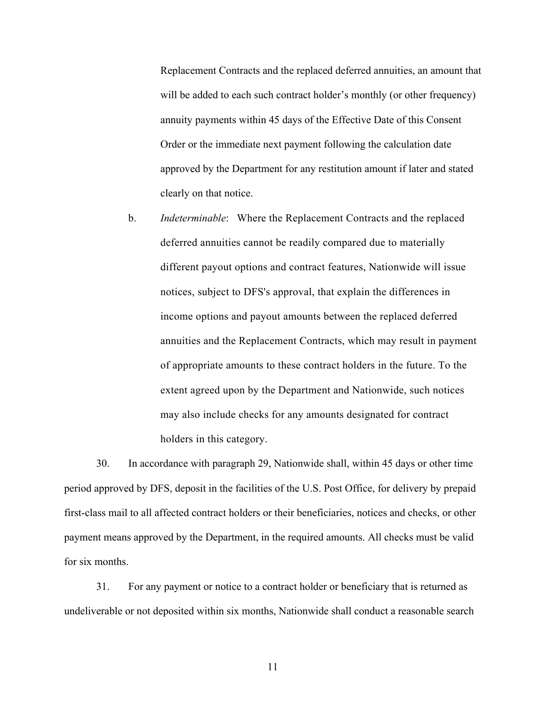Replacement Contracts and the replaced deferred annuities, an amount that will be added to each such contract holder's monthly (or other frequency) annuity payments within 45 days of the Effective Date of this Consent Order or the immediate next payment following the calculation date approved by the Department for any restitution amount if later and stated clearly on that notice.

b. *Indeterminable*: Where the Replacement Contracts and the replaced deferred annuities cannot be readily compared due to materially different payout options and contract features, Nationwide will issue notices, subject to DFS's approval, that explain the differences in income options and payout amounts between the replaced deferred annuities and the Replacement Contracts, which may result in payment of appropriate amounts to these contract holders in the future. To the extent agreed upon by the Department and Nationwide, such notices may also include checks for any amounts designated for contract holders in this category.

30. In accordance with paragraph 29, Nationwide shall, within 45 days or other time period approved by DFS, deposit in the facilities of the U.S. Post Office, for delivery by prepaid first-class mail to all affected contract holders or their beneficiaries, notices and checks, or other payment means approved by the Department, in the required amounts. All checks must be valid for six months.

31. For any payment or notice to a contract holder or beneficiary that is returned as undeliverable or not deposited within six months, Nationwide shall conduct a reasonable search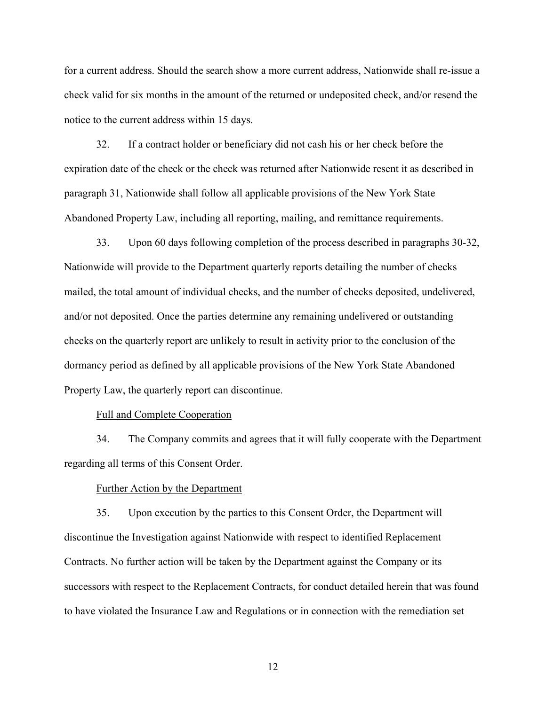for a current address. Should the search show a more current address, Nationwide shall re-issue a check valid for six months in the amount of the returned or undeposited check, and/or resend the notice to the current address within 15 days.

32. If a contract holder or beneficiary did not cash his or her check before the expiration date of the check or the check was returned after Nationwide resent it as described in paragraph 31, Nationwide shall follow all applicable provisions of the New York State Abandoned Property Law, including all reporting, mailing, and remittance requirements.

33. Upon 60 days following completion of the process described in paragraphs 30-32, Nationwide will provide to the Department quarterly reports detailing the number of checks mailed, the total amount of individual checks, and the number of checks deposited, undelivered, and/or not deposited. Once the parties determine any remaining undelivered or outstanding checks on the quarterly report are unlikely to result in activity prior to the conclusion of the dormancy period as defined by all applicable provisions of the New York State Abandoned Property Law, the quarterly report can discontinue.

### Full and Complete Cooperation

34. The Company commits and agrees that it will fully cooperate with the Department regarding all terms of this Consent Order.

#### Further Action by the Department

35. Upon execution by the parties to this Consent Order, the Department will discontinue the Investigation against Nationwide with respect to identified Replacement Contracts. No further action will be taken by the Department against the Company or its successors with respect to the Replacement Contracts, for conduct detailed herein that was found to have violated the Insurance Law and Regulations or in connection with the remediation set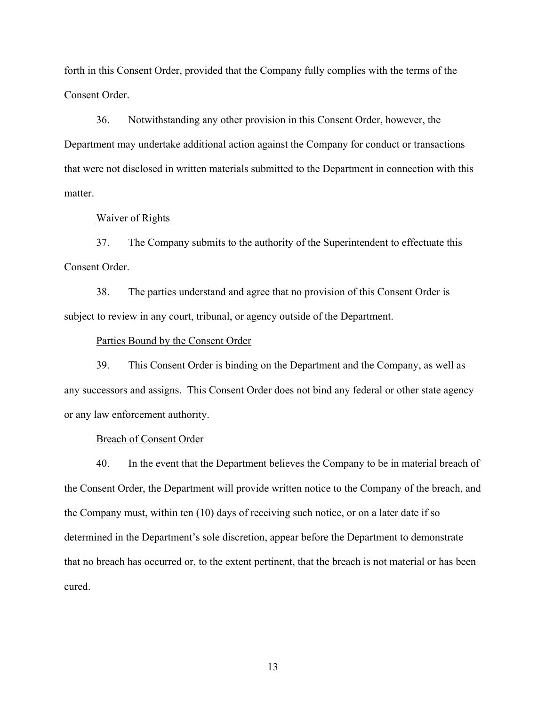forth in this Consent Order, provided that the Company fully complies with the terms of the Consent Order.

36. Notwithstanding any other provision in this Consent Order, however, the Department may undertake additional action against the Company for conduct or transactions that were not disclosed in written materials submitted to the Department in connection with this matter.

#### Waiver of Rights

37. The Company submits to the authority of the Superintendent to effectuate this Consent Order.

38. The parties understand and agree that no provision of this Consent Order is subject to review in any court, tribunal, or agency outside of the Department.

### Parties Bound by the Consent Order

39. This Consent Order is binding on the Department and the Company, as well as any successors and assigns. This Consent Order does not bind any federal or other state agency or any law enforcement authority.

### Breach of Consent Order

40. In the event that the Department believes the Company to be in material breach of the Consent Order, the Department will provide written notice to the Company of the breach, and the Company must, within ten (10) days of receiving such notice, or on a later date if so determined in the Department's sole discretion, appear before the Department to demonstrate that no breach has occurred or, to the extent pertinent, that the breach is not material or has been cured.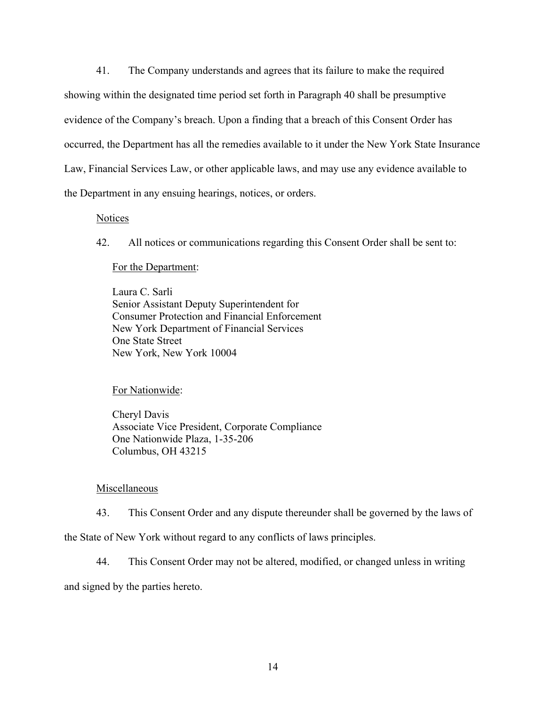41. The Company understands and agrees that its failure to make the required showing within the designated time period set forth in Paragraph 40 shall be presumptive evidence of the Company's breach. Upon a finding that a breach of this Consent Order has occurred, the Department has all the remedies available to it under the New York State Insurance Law, Financial Services Law, or other applicable laws, and may use any evidence available to the Department in any ensuing hearings, notices, or orders.

## **Notices**

42. All notices or communications regarding this Consent Order shall be sent to:

## For the Department:

Laura C. Sarli Senior Assistant Deputy Superintendent for Consumer Protection and Financial Enforcement New York Department of Financial Services One State Street New York, New York 10004

## For Nationwide:

Cheryl Davis Associate Vice President, Corporate Compliance One Nationwide Plaza, 1-35-206 Columbus, OH 43215

## Miscellaneous

43. This Consent Order and any dispute thereunder shall be governed by the laws of

the State of New York without regard to any conflicts of laws principles.

44. This Consent Order may not be altered, modified, or changed unless in writing

and signed by the parties hereto.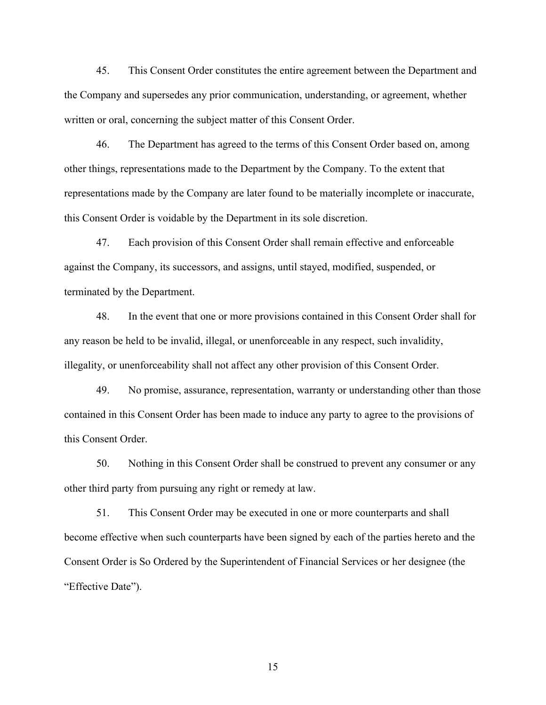45. This Consent Order constitutes the entire agreement between the Department and the Company and supersedes any prior communication, understanding, or agreement, whether written or oral, concerning the subject matter of this Consent Order.

46. The Department has agreed to the terms of this Consent Order based on, among other things, representations made to the Department by the Company. To the extent that representations made by the Company are later found to be materially incomplete or inaccurate, this Consent Order is voidable by the Department in its sole discretion.

47. Each provision of this Consent Order shall remain effective and enforceable against the Company, its successors, and assigns, until stayed, modified, suspended, or terminated by the Department.

48. In the event that one or more provisions contained in this Consent Order shall for any reason be held to be invalid, illegal, or unenforceable in any respect, such invalidity, illegality, or unenforceability shall not affect any other provision of this Consent Order.

49. No promise, assurance, representation, warranty or understanding other than those contained in this Consent Order has been made to induce any party to agree to the provisions of this Consent Order.

50. Nothing in this Consent Order shall be construed to prevent any consumer or any other third party from pursuing any right or remedy at law.

51. This Consent Order may be executed in one or more counterparts and shall become effective when such counterparts have been signed by each of the parties hereto and the Consent Order is So Ordered by the Superintendent of Financial Services or her designee (the "Effective Date").